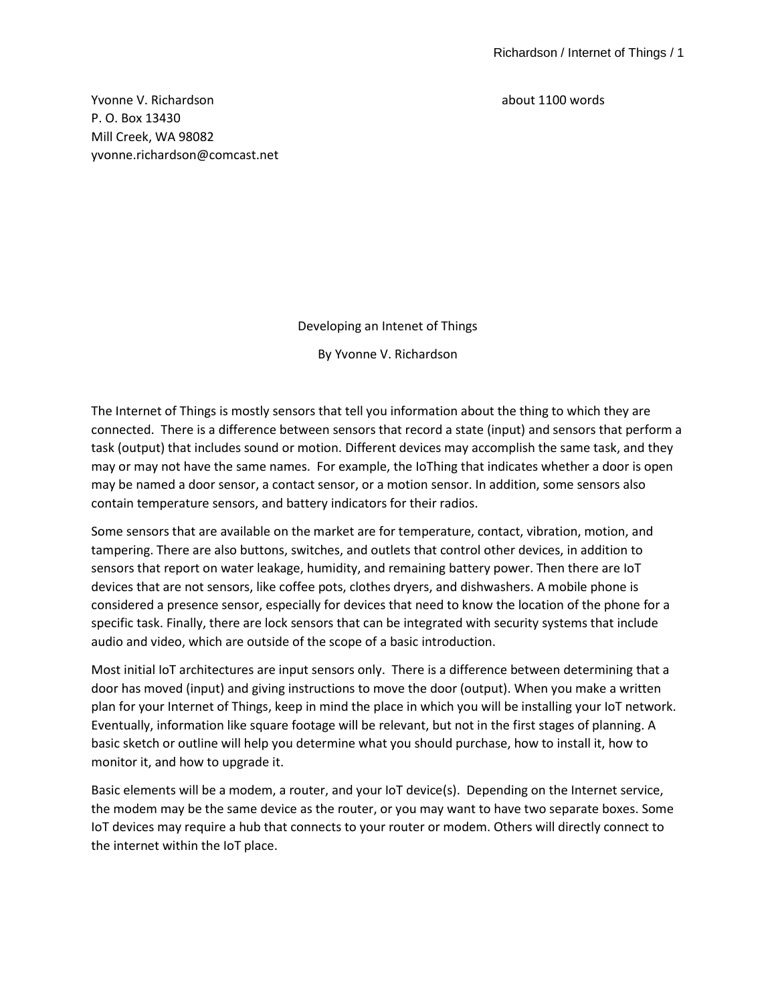Yvonne V. Richardson about 1100 words P. O. Box 13430 Mill Creek, WA 98082 yvonne.richardson@comcast.net

Developing an Intenet of Things

By Yvonne V. Richardson

The Internet of Things is mostly sensors that tell you information about the thing to which they are connected. There is a difference between sensors that record a state (input) and sensors that perform a task (output) that includes sound or motion. Different devices may accomplish the same task, and they may or may not have the same names. For example, the IoThing that indicates whether a door is open may be named a door sensor, a contact sensor, or a motion sensor. In addition, some sensors also contain temperature sensors, and battery indicators for their radios.

Some sensors that are available on the market are for temperature, contact, vibration, motion, and tampering. There are also buttons, switches, and outlets that control other devices, in addition to sensors that report on water leakage, humidity, and remaining battery power. Then there are IoT devices that are not sensors, like coffee pots, clothes dryers, and dishwashers. A mobile phone is considered a presence sensor, especially for devices that need to know the location of the phone for a specific task. Finally, there are lock sensors that can be integrated with security systems that include audio and video, which are outside of the scope of a basic introduction.

Most initial IoT architectures are input sensors only. There is a difference between determining that a door has moved (input) and giving instructions to move the door (output). When you make a written plan for your Internet of Things, keep in mind the place in which you will be installing your IoT network. Eventually, information like square footage will be relevant, but not in the first stages of planning. A basic sketch or outline will help you determine what you should purchase, how to install it, how to monitor it, and how to upgrade it.

Basic elements will be a modem, a router, and your IoT device(s). Depending on the Internet service, the modem may be the same device as the router, or you may want to have two separate boxes. Some IoT devices may require a hub that connects to your router or modem. Others will directly connect to the internet within the IoT place.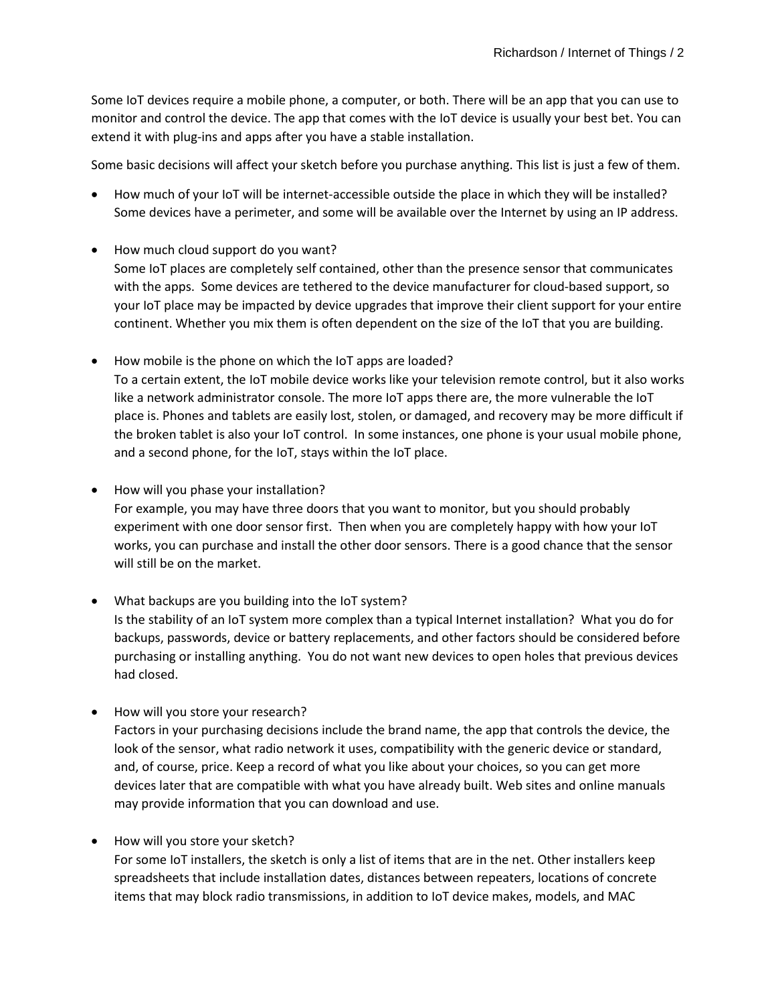Some IoT devices require a mobile phone, a computer, or both. There will be an app that you can use to monitor and control the device. The app that comes with the IoT device is usually your best bet. You can extend it with plug-ins and apps after you have a stable installation.

Some basic decisions will affect your sketch before you purchase anything. This list is just a few of them.

- How much of your IoT will be internet-accessible outside the place in which they will be installed? Some devices have a perimeter, and some will be available over the Internet by using an IP address.
- How much cloud support do you want? Some IoT places are completely self contained, other than the presence sensor that communicates with the apps. Some devices are tethered to the device manufacturer for cloud-based support, so your IoT place may be impacted by device upgrades that improve their client support for your entire continent. Whether you mix them is often dependent on the size of the IoT that you are building.
- How mobile is the phone on which the IoT apps are loaded? To a certain extent, the IoT mobile device works like your television remote control, but it also works like a network administrator console. The more IoT apps there are, the more vulnerable the IoT place is. Phones and tablets are easily lost, stolen, or damaged, and recovery may be more difficult if the broken tablet is also your IoT control. In some instances, one phone is your usual mobile phone, and a second phone, for the IoT, stays within the IoT place.
- How will you phase your installation?

For example, you may have three doors that you want to monitor, but you should probably experiment with one door sensor first. Then when you are completely happy with how your IoT works, you can purchase and install the other door sensors. There is a good chance that the sensor will still be on the market.

- What backups are you building into the IoT system? Is the stability of an IoT system more complex than a typical Internet installation? What you do for backups, passwords, device or battery replacements, and other factors should be considered before purchasing or installing anything. You do not want new devices to open holes that previous devices had closed.
- How will you store your research?

Factors in your purchasing decisions include the brand name, the app that controls the device, the look of the sensor, what radio network it uses, compatibility with the generic device or standard, and, of course, price. Keep a record of what you like about your choices, so you can get more devices later that are compatible with what you have already built. Web sites and online manuals may provide information that you can download and use.

• How will you store your sketch?

For some IoT installers, the sketch is only a list of items that are in the net. Other installers keep spreadsheets that include installation dates, distances between repeaters, locations of concrete items that may block radio transmissions, in addition to IoT device makes, models, and MAC